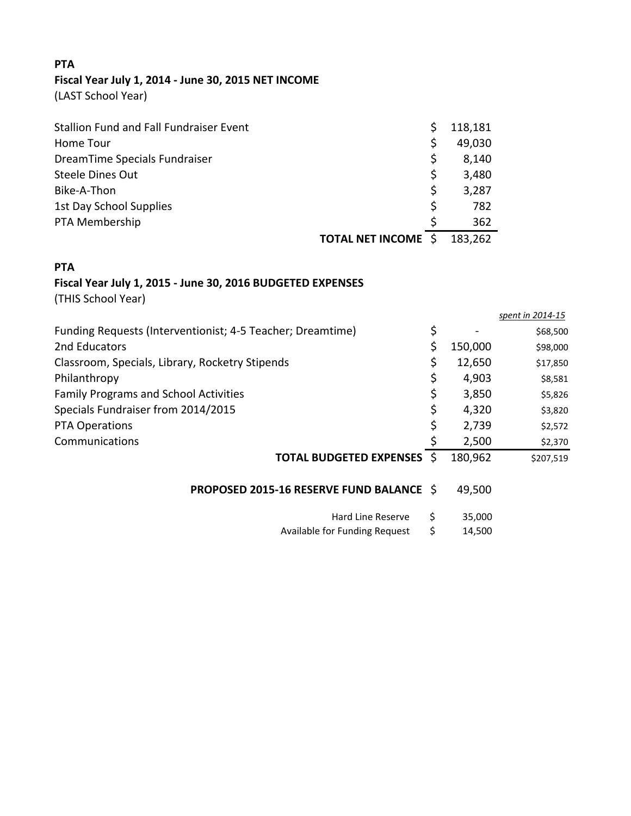## **PTA Fiscal Year July 1, 2014 ‐ June 30, 2015 NET INCOME**

(LAST School Year)

| Stallion Fund and Fall Fundraiser Event |     | 118,181 |
|-----------------------------------------|-----|---------|
| Home Tour                               | \$  | 49,030  |
| DreamTime Specials Fundraiser           | \$. | 8,140   |
| <b>Steele Dines Out</b>                 | \$  | 3,480   |
| Bike-A-Thon                             | \$  | 3,287   |
| 1st Day School Supplies                 | \$  | 782     |
| PTA Membership                          | Ś   | 362     |
| <b>TOTAL NET INCOME \$</b>              |     | 183,262 |

## **PTA**

## **Fiscal Year July 1, 2015 ‐ June 30, 2016 BUDGETED EXPENSES**

(THIS School Year)

|                                                            |               | spent in 2014-15 |
|------------------------------------------------------------|---------------|------------------|
| Funding Requests (Interventionist; 4-5 Teacher; Dreamtime) | \$            | \$68,500         |
| 2nd Educators                                              | \$<br>150,000 | \$98,000         |
| Classroom, Specials, Library, Rocketry Stipends            | \$<br>12,650  | \$17,850         |
| Philanthropy                                               | \$<br>4,903   | \$8,581          |
| <b>Family Programs and School Activities</b>               | \$<br>3,850   | \$5,826          |
| Specials Fundraiser from 2014/2015                         | \$<br>4,320   | \$3,820          |
| <b>PTA Operations</b>                                      | \$<br>2,739   | \$2,572          |
| Communications                                             | 2,500         | \$2,370          |
| <b>TOTAL BUDGETED EXPENSES \$</b>                          | 180,962       | \$207,519        |
| <b>PROPOSED 2015-16 RESERVE FUND BALANCE \$</b>            | 49,500        |                  |
| Hard Line Reserve                                          | \$<br>35,000  |                  |
| Available for Funding Request                              | \$<br>14,500  |                  |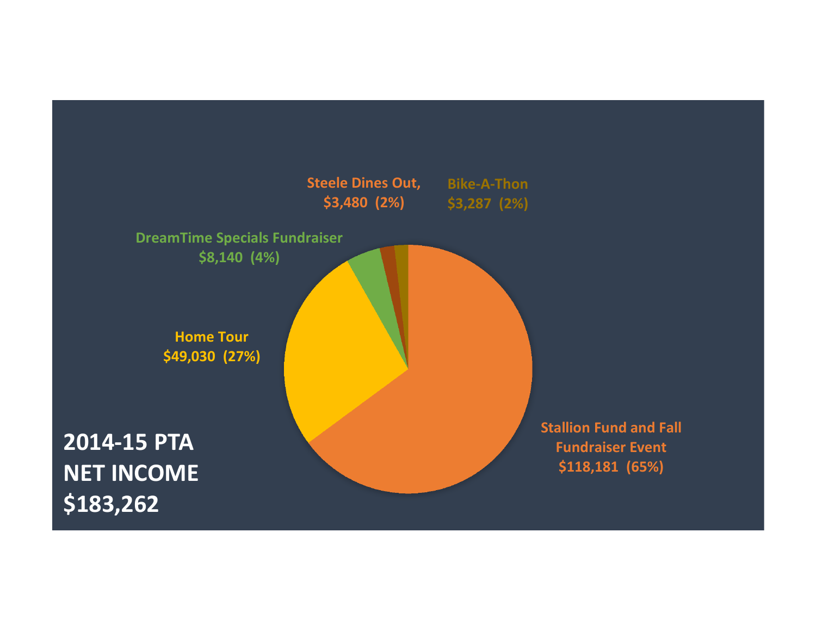